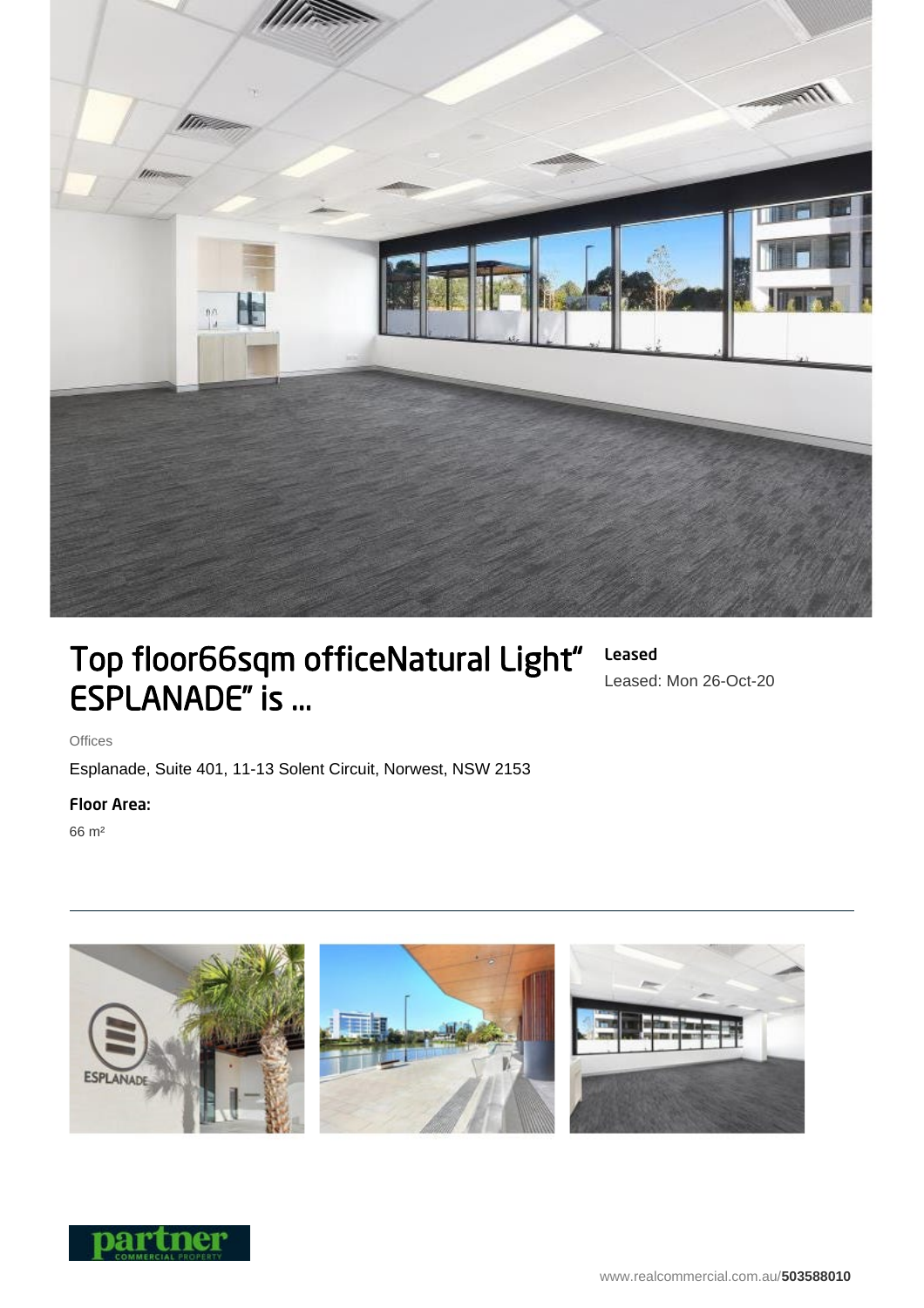

# Top floor66sqm officeNatural Light" ESPLANADE" is ...

# Leased Leased: Mon 26-Oct-20

**Offices** 

Esplanade, Suite 401, 11-13 Solent Circuit, Norwest, NSW 2153

## Floor Area:

66 m²